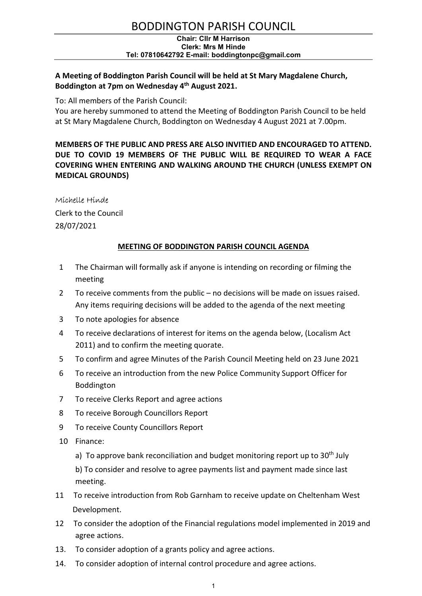## BODDINGTON PARISH COUNCIL

#### Chair: Cllr M Harrison Clerk: Mrs M Hinde Tel: 07810642792 E-mail: boddingtonpc@gmail.com

### A Meeting of Boddington Parish Council will be held at St Mary Magdalene Church, Boddington at 7pm on Wednesday 4<sup>th</sup> August 2021.

To: All members of the Parish Council:

You are hereby summoned to attend the Meeting of Boddington Parish Council to be held at St Mary Magdalene Church, Boddington on Wednesday 4 August 2021 at 7.00pm.

MEMBERS OF THE PUBLIC AND PRESS ARE ALSO INVITIED AND ENCOURAGED TO ATTEND. DUE TO COVID 19 MEMBERS OF THE PUBLIC WILL BE REQUIRED TO WEAR A FACE COVERING WHEN ENTERING AND WALKING AROUND THE CHURCH (UNLESS EXEMPT ON MEDICAL GROUNDS)

#### Michelle Hinde

Clerk to the Council 28/07/2021

#### MEETING OF BODDINGTON PARISH COUNCIL AGENDA

- 1 The Chairman will formally ask if anyone is intending on recording or filming the meeting
- 2 To receive comments from the public no decisions will be made on issues raised. Any items requiring decisions will be added to the agenda of the next meeting
- 3 To note apologies for absence
- 4 To receive declarations of interest for items on the agenda below, (Localism Act 2011) and to confirm the meeting quorate.
- 5 To confirm and agree Minutes of the Parish Council Meeting held on 23 June 2021
- 6 To receive an introduction from the new Police Community Support Officer for Boddington
- 7 To receive Clerks Report and agree actions
- 8 To receive Borough Councillors Report
- 9 To receive County Councillors Report
- 10 Finance:
	- a) To approve bank reconciliation and budget monitoring report up to  $30<sup>th</sup>$  July

b) To consider and resolve to agree payments list and payment made since last meeting.

- 11 To receive introduction from Rob Garnham to receive update on Cheltenham West Development.
- 12 To consider the adoption of the Financial regulations model implemented in 2019 and agree actions.
- 13. To consider adoption of a grants policy and agree actions.
- 14. To consider adoption of internal control procedure and agree actions.